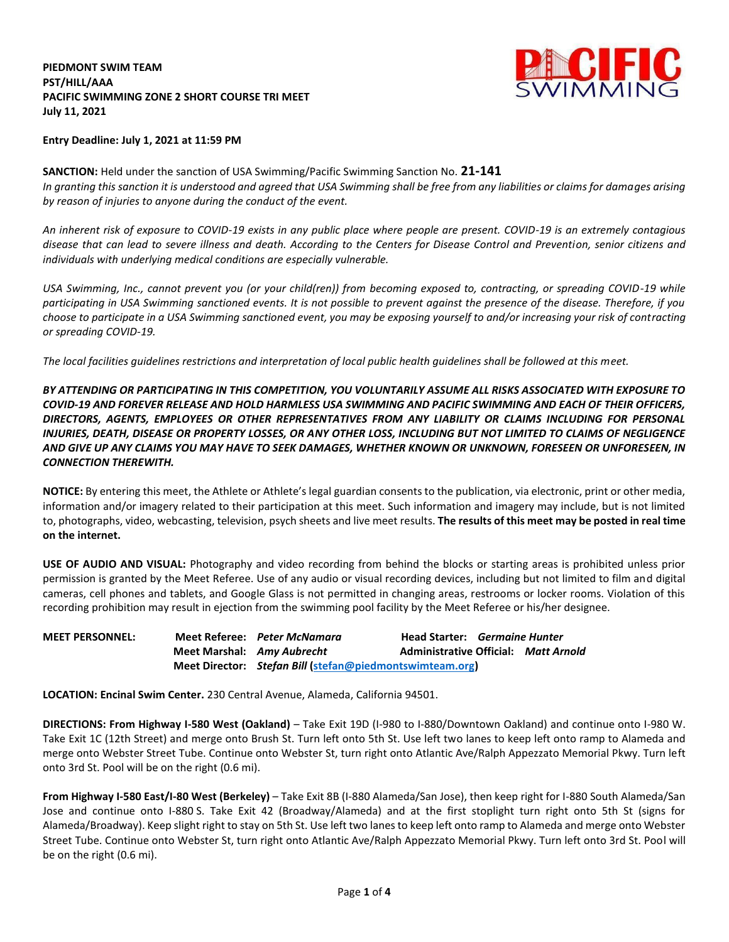## **PIEDMONT SWIM TEAM PST/HILL/AAA PACIFIC SWIMMING ZONE 2 SHORT COURSE TRI MEET July 11, 2021**



#### **Entry Deadline: July 1, 2021 at 11:59 PM**

### **SANCTION:** Held under the sanction of USA Swimming/Pacific Swimming Sanction No. **21-141** *In granting this sanction it is understood and agreed that USA Swimming shall be free from any liabilities or claims for damages arising by reason of injuries to anyone during the conduct of the event.*

*An inherent risk of exposure to COVID-19 exists in any public place where people are present. COVID-19 is an extremely contagious disease that can lead to severe illness and death. According to the Centers for Disease Control and Prevention, senior citizens and individuals with underlying medical conditions are especially vulnerable.*

*USA Swimming, Inc., cannot prevent you (or your child(ren)) from becoming exposed to, contracting, or spreading COVID-19 while participating in USA Swimming sanctioned events. It is not possible to prevent against the presence of the disease. Therefore, if you choose to participate in a USA Swimming sanctioned event, you may be exposing yourself to and/or increasing your risk of contracting or spreading COVID-19.*

*The local facilities guidelines restrictions and interpretation of local public health guidelines shall be followed at this meet.*

*BY ATTENDING OR PARTICIPATING IN THIS COMPETITION, YOU VOLUNTARILY ASSUME ALL RISKS ASSOCIATED WITH EXPOSURE TO COVID-19 AND FOREVER RELEASE AND HOLD HARMLESS USA SWIMMING AND PACIFIC SWIMMING AND EACH OF THEIR OFFICERS, DIRECTORS, AGENTS, EMPLOYEES OR OTHER REPRESENTATIVES FROM ANY LIABILITY OR CLAIMS INCLUDING FOR PERSONAL INJURIES, DEATH, DISEASE OR PROPERTY LOSSES, OR ANY OTHER LOSS, INCLUDING BUT NOT LIMITED TO CLAIMS OF NEGLIGENCE AND GIVE UP ANY CLAIMS YOU MAY HAVE TO SEEK DAMAGES, WHETHER KNOWN OR UNKNOWN, FORESEEN OR UNFORESEEN, IN CONNECTION THEREWITH.*

**NOTICE:** By entering this meet, the Athlete or Athlete's legal guardian consents to the publication, via electronic, print or other media, information and/or imagery related to their participation at this meet. Such information and imagery may include, but is not limited to, photographs, video, webcasting, television, psych sheets and live meet results. **The results of this meet may be posted in real time on the internet.**

**USE OF AUDIO AND VISUAL:** Photography and video recording from behind the blocks or starting areas is prohibited unless prior permission is granted by the Meet Referee. Use of any audio or visual recording devices, including but not limited to film and digital cameras, cell phones and tablets, and Google Glass is not permitted in changing areas, restrooms or locker rooms. Violation of this recording prohibition may result in ejection from the swimming pool facility by the Meet Referee or his/her designee.

**MEET PERSONNEL: Meet Referee:** *Peter McNamara* **Head Starter:** *Germaine Hunter*  **Meet Marshal:** *Amy Aubrecht* **Administrative Official:** *Matt Arnold* **Meet Director:** *Stefan Bill* **[\(stefan@piedmontswimteam.org\)](mailto:stefan@piedmontswimteam.org)**

**LOCATION: Encinal Swim Center.** 230 Central Avenue, Alameda, California 94501.

**DIRECTIONS: From Highway I-580 West (Oakland)** – Take Exit 19D (I-980 to I-880/Downtown Oakland) and continue onto I-980 W. Take Exit 1C (12th Street) and merge onto Brush St. Turn left onto 5th St. Use left two lanes to keep left onto ramp to Alameda and merge onto Webster Street Tube. Continue onto Webster St, turn right onto Atlantic Ave/Ralph Appezzato Memorial Pkwy. Turn left onto 3rd St. Pool will be on the right (0.6 mi).

**From Highway I-580 East/I-80 West (Berkeley)** – Take Exit 8B (I-880 Alameda/San Jose), then keep right for I-880 South Alameda/San Jose and continue onto I-880 S. Take Exit 42 (Broadway/Alameda) and at the first stoplight turn right onto 5th St (signs for Alameda/Broadway). Keep slight right to stay on 5th St. Use left two lanes to keep left onto ramp to Alameda and merge onto Webster Street Tube. Continue onto Webster St, turn right onto Atlantic Ave/Ralph Appezzato Memorial Pkwy. Turn left onto 3rd St. Pool will be on the right (0.6 mi).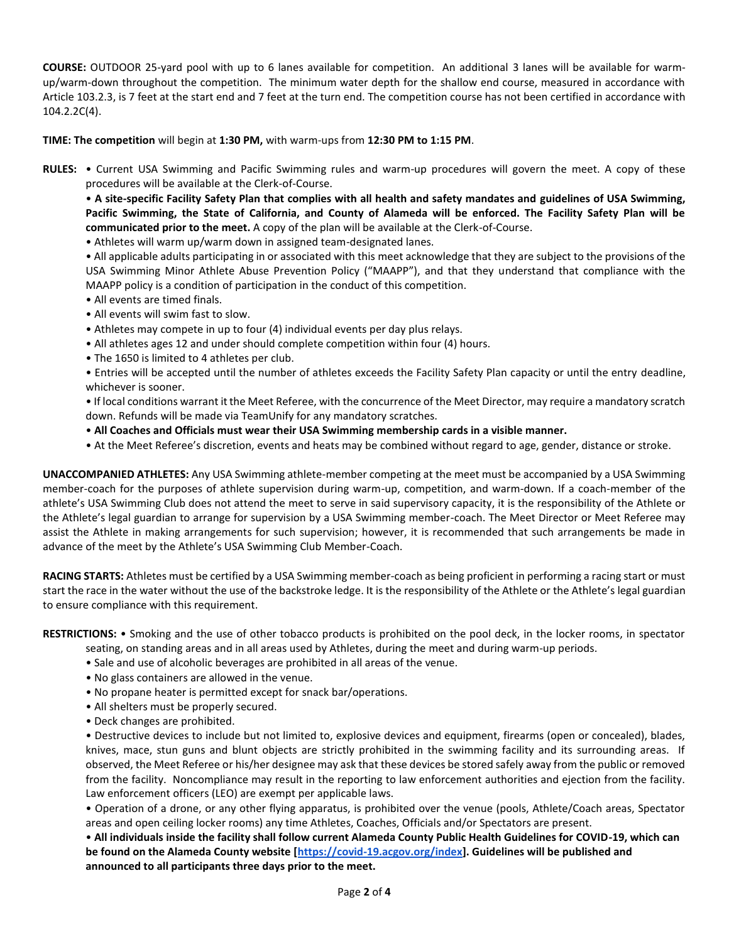**COURSE:** OUTDOOR 25-yard pool with up to 6 lanes available for competition. An additional 3 lanes will be available for warmup/warm-down throughout the competition. The minimum water depth for the shallow end course, measured in accordance with Article 103.2.3, is 7 feet at the start end and 7 feet at the turn end. The competition course has not been certified in accordance with 104.2.2C(4).

**TIME: The competition** will begin at **1:30 PM,** with warm-ups from **12:30 PM to 1:15 PM**.

**RULES:** • Current USA Swimming and Pacific Swimming rules and warm-up procedures will govern the meet. A copy of these procedures will be available at the Clerk-of-Course.

• **A site-specific Facility Safety Plan that complies with all health and safety mandates and guidelines of USA Swimming, Pacific Swimming, the State of California, and County of Alameda will be enforced. The Facility Safety Plan will be communicated prior to the meet.** A copy of the plan will be available at the Clerk-of-Course.

• Athletes will warm up/warm down in assigned team-designated lanes.

• All applicable adults participating in or associated with this meet acknowledge that they are subject to the provisions of the USA Swimming Minor Athlete Abuse Prevention Policy ("MAAPP"), and that they understand that compliance with the MAAPP policy is a condition of participation in the conduct of this competition.

- All events are timed finals.
- All events will swim fast to slow.
- Athletes may compete in up to four (4) individual events per day plus relays.
- All athletes ages 12 and under should complete competition within four (4) hours.
- The 1650 is limited to 4 athletes per club.
- Entries will be accepted until the number of athletes exceeds the Facility Safety Plan capacity or until the entry deadline, whichever is sooner.

• If local conditions warrant it the Meet Referee, with the concurrence of the Meet Director, may require a mandatory scratch down. Refunds will be made via TeamUnify for any mandatory scratches.

- **All Coaches and Officials must wear their USA Swimming membership cards in a visible manner.**
- At the Meet Referee's discretion, events and heats may be combined without regard to age, gender, distance or stroke.

**UNACCOMPANIED ATHLETES:** Any USA Swimming athlete-member competing at the meet must be accompanied by a USA Swimming member-coach for the purposes of athlete supervision during warm-up, competition, and warm-down. If a coach-member of the athlete's USA Swimming Club does not attend the meet to serve in said supervisory capacity, it is the responsibility of the Athlete or the Athlete's legal guardian to arrange for supervision by a USA Swimming member-coach. The Meet Director or Meet Referee may assist the Athlete in making arrangements for such supervision; however, it is recommended that such arrangements be made in advance of the meet by the Athlete's USA Swimming Club Member-Coach.

**RACING STARTS:** Athletes must be certified by a USA Swimming member-coach as being proficient in performing a racing start or must start the race in the water without the use of the backstroke ledge. It is the responsibility of the Athlete or the Athlete's legal guardian to ensure compliance with this requirement.

**RESTRICTIONS:** • Smoking and the use of other tobacco products is prohibited on the pool deck, in the locker rooms, in spectator

- seating, on standing areas and in all areas used by Athletes, during the meet and during warm-up periods.
- Sale and use of alcoholic beverages are prohibited in all areas of the venue.
- No glass containers are allowed in the venue.
- No propane heater is permitted except for snack bar/operations.
- All shelters must be properly secured.
- Deck changes are prohibited.

• Destructive devices to include but not limited to, explosive devices and equipment, firearms (open or concealed), blades, knives, mace, stun guns and blunt objects are strictly prohibited in the swimming facility and its surrounding areas. If observed, the Meet Referee or his/her designee may ask that these devices be stored safely away from the public or removed from the facility. Noncompliance may result in the reporting to law enforcement authorities and ejection from the facility. Law enforcement officers (LEO) are exempt per applicable laws.

• Operation of a drone, or any other flying apparatus, is prohibited over the venue (pools, Athlete/Coach areas, Spectator areas and open ceiling locker rooms) any time Athletes, Coaches, Officials and/or Spectators are present.

• **All individuals inside the facility shall follow current Alameda County Public Health Guidelines for COVID-19, which can be found on the Alameda County website [\[https://covid-19.acgov.org/index\]](https://covid-19.acgov.org/index). Guidelines will be published and announced to all participants three days prior to the meet.**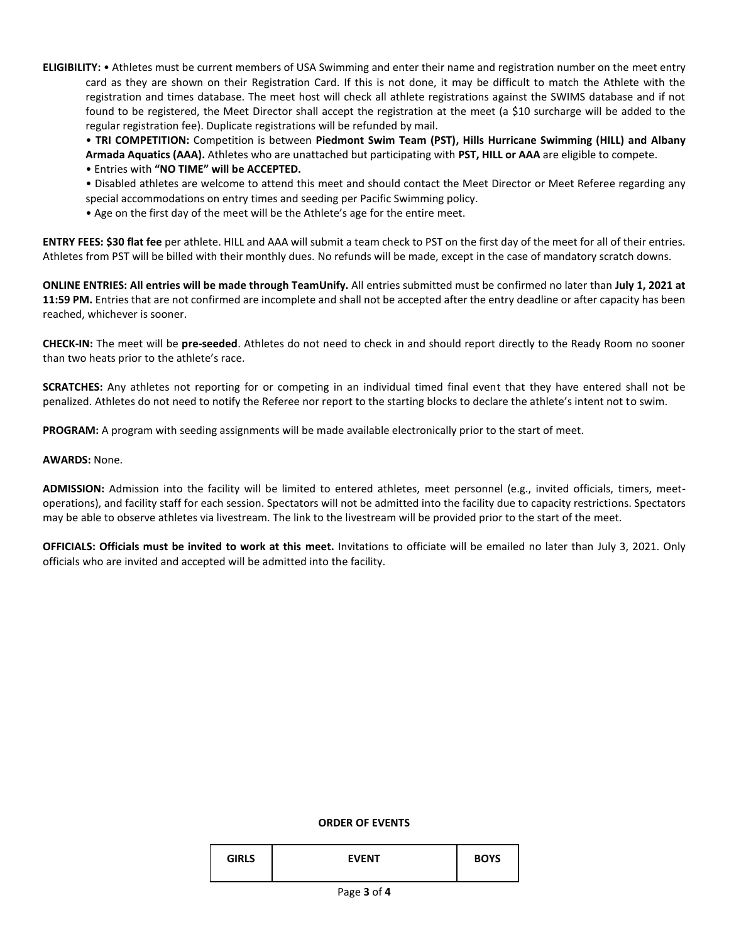**ELIGIBILITY:** • Athletes must be current members of USA Swimming and enter their name and registration number on the meet entry card as they are shown on their Registration Card. If this is not done, it may be difficult to match the Athlete with the registration and times database. The meet host will check all athlete registrations against the SWIMS database and if not found to be registered, the Meet Director shall accept the registration at the meet (a \$10 surcharge will be added to the regular registration fee). Duplicate registrations will be refunded by mail.

• **TRI COMPETITION:** Competition is between **Piedmont Swim Team (PST), Hills Hurricane Swimming (HILL) and Albany Armada Aquatics (AAA).** Athletes who are unattached but participating with **PST, HILL or AAA** are eligible to compete.

• Entries with **"NO TIME" will be ACCEPTED.**

- Disabled athletes are welcome to attend this meet and should contact the Meet Director or Meet Referee regarding any special accommodations on entry times and seeding per Pacific Swimming policy.
- Age on the first day of the meet will be the Athlete's age for the entire meet.

**ENTRY FEES: \$30 flat fee** per athlete. HILL and AAA will submit a team check to PST on the first day of the meet for all of their entries. Athletes from PST will be billed with their monthly dues. No refunds will be made, except in the case of mandatory scratch downs.

**ONLINE ENTRIES: All entries will be made through TeamUnify.** All entries submitted must be confirmed no later than **July 1, 2021 at 11:59 PM.** Entries that are not confirmed are incomplete and shall not be accepted after the entry deadline or after capacity has been reached, whichever is sooner.

**CHECK-IN:** The meet will be **pre-seeded**. Athletes do not need to check in and should report directly to the Ready Room no sooner than two heats prior to the athlete's race.

**SCRATCHES:** Any athletes not reporting for or competing in an individual timed final event that they have entered shall not be penalized. Athletes do not need to notify the Referee nor report to the starting blocks to declare the athlete's intent not to swim.

**PROGRAM:** A program with seeding assignments will be made available electronically prior to the start of meet.

## **AWARDS:** None.

**ADMISSION:** Admission into the facility will be limited to entered athletes, meet personnel (e.g., invited officials, timers, meetoperations), and facility staff for each session. Spectators will not be admitted into the facility due to capacity restrictions. Spectators may be able to observe athletes via livestream. The link to the livestream will be provided prior to the start of the meet.

**OFFICIALS: Officials must be invited to work at this meet.** Invitations to officiate will be emailed no later than July 3, 2021. Only officials who are invited and accepted will be admitted into the facility.

#### **ORDER OF EVENTS**

| <b>GIRLS</b> | <b>FVFNT</b> | <b>BOYS</b> |
|--------------|--------------|-------------|
|              |              |             |